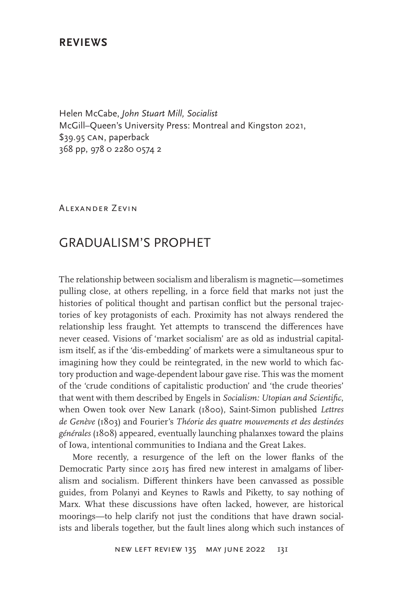## **REVIEWS**

Helen McCabe, *John Stuart Mill, Socialist* McGill–Queen's University Press: Montreal and Kingston 2021, \$39.95 can, paperback 368 pp, 978 0 2280 0574 2

Alexander Zevin

# GRADUALISM'S PROPHET

The relationship between socialism and liberalism is magnetic—sometimes pulling close, at others repelling, in a force field that marks not just the histories of political thought and partisan conflict but the personal trajectories of key protagonists of each. Proximity has not always rendered the relationship less fraught. Yet attempts to transcend the differences have never ceased. Visions of 'market socialism' are as old as industrial capitalism itself, as if the 'dis-embedding' of markets were a simultaneous spur to imagining how they could be reintegrated, in the new world to which factory production and wage-dependent labour gave rise. This was the moment of the 'crude conditions of capitalistic production' and 'the crude theories' that went with them described by Engels in *Socialism: Utopian and Scientific*, when Owen took over New Lanark (1800), Saint-Simon published *Lettres de Genève* (1803) and Fourier's *Théorie des quatre mouvements et des destinées générales* (1808) appeared, eventually launching phalanxes toward the plains of Iowa, intentional communities to Indiana and the Great Lakes.

More recently, a resurgence of the left on the lower flanks of the Democratic Party since 2015 has fired new interest in amalgams of liberalism and socialism. Different thinkers have been canvassed as possible guides, from Polanyi and Keynes to Rawls and Piketty, to say nothing of Marx. What these discussions have often lacked, however, are historical moorings—to help clarify not just the conditions that have drawn socialists and liberals together, but the fault lines along which such instances of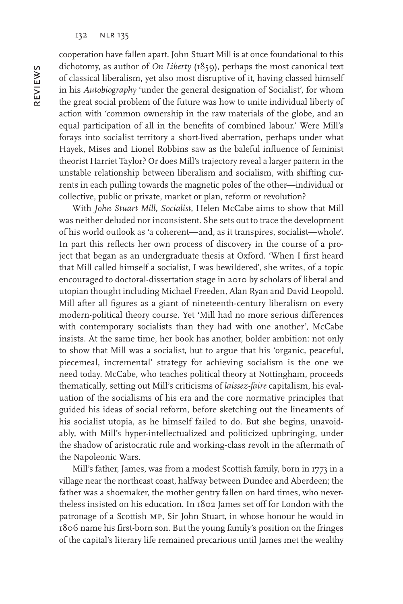cooperation have fallen apart. John Stuart Mill is at once foundational to this dichotomy, as author of *On Liberty* (1859), perhaps the most canonical text of classical liberalism, yet also most disruptive of it, having classed himself in his *Autobiography* 'under the general designation of Socialist', for whom the great social problem of the future was how to unite individual liberty of action with 'common ownership in the raw materials of the globe, and an equal participation of all in the benefits of combined labour.' Were Mill's forays into socialist territory a short-lived aberration, perhaps under what Hayek, Mises and Lionel Robbins saw as the baleful influence of feminist theorist Harriet Taylor? Or does Mill's trajectory reveal a larger pattern in the unstable relationship between liberalism and socialism, with shifting currents in each pulling towards the magnetic poles of the other—individual or collective, public or private, market or plan, reform or revolution?

With *John Stuart Mill, Socialist*, Helen McCabe aims to show that Mill was neither deluded nor inconsistent. She sets out to trace the development of his world outlook as 'a coherent—and, as it transpires, socialist—whole'. In part this reflects her own process of discovery in the course of a project that began as an undergraduate thesis at Oxford. 'When I first heard that Mill called himself a socialist, I was bewildered', she writes, of a topic encouraged to doctoral-dissertation stage in 2010 by scholars of liberal and utopian thought including Michael Freeden, Alan Ryan and David Leopold. Mill after all figures as a giant of nineteenth-century liberalism on every modern-political theory course. Yet 'Mill had no more serious differences with contemporary socialists than they had with one another', McCabe insists. At the same time, her book has another, bolder ambition: not only to show that Mill was a socialist, but to argue that his 'organic, peaceful, piecemeal, incremental' strategy for achieving socialism is the one we need today. McCabe, who teaches political theory at Nottingham, proceeds thematically, setting out Mill's criticisms of *laissez-faire* capitalism, his evaluation of the socialisms of his era and the core normative principles that guided his ideas of social reform, before sketching out the lineaments of his socialist utopia, as he himself failed to do. But she begins, unavoidably, with Mill's hyper-intellectualized and politicized upbringing, under the shadow of aristocratic rule and working-class revolt in the aftermath of the Napoleonic Wars.

Mill's father, James, was from a modest Scottish family, born in 1773 in a village near the northeast coast, halfway between Dundee and Aberdeen; the father was a shoemaker, the mother gentry fallen on hard times, who nevertheless insisted on his education. In 1802 James set off for London with the patronage of a Scottish mp, Sir John Stuart, in whose honour he would in 1806 name his first-born son. But the young family's position on the fringes of the capital's literary life remained precarious until James met the wealthy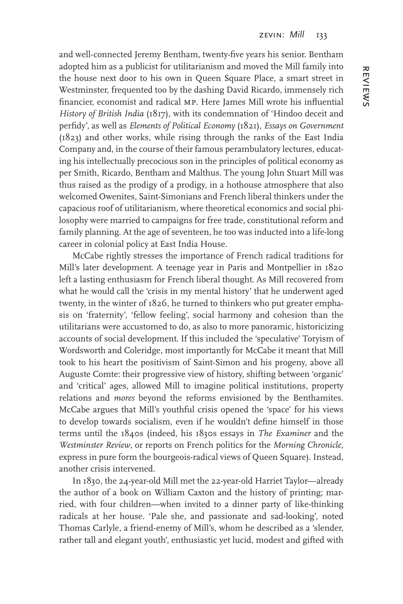and well-connected Jeremy Bentham, twenty-five years his senior. Bentham adopted him as a publicist for utilitarianism and moved the Mill family into the house next door to his own in Queen Square Place, a smart street in Westminster, frequented too by the dashing David Ricardo, immensely rich financier, economist and radical mp. Here James Mill wrote his influential *History of British India* (1817), with its condemnation of 'Hindoo deceit and perfidy', as well as *Elements of Political Economy* (1821), *Essays on Government*  (1823) and other works, while rising through the ranks of the East India Company and, in the course of their famous perambulatory lectures, educating his intellectually precocious son in the principles of political economy as per Smith, Ricardo, Bentham and Malthus. The young John Stuart Mill was thus raised as the prodigy of a prodigy, in a hothouse atmosphere that also welcomed Owenites, Saint-Simonians and French liberal thinkers under the capacious roof of utilitarianism, where theoretical economics and social philosophy were married to campaigns for free trade, constitutional reform and family planning. At the age of seventeen, he too was inducted into a life-long career in colonial policy at East India House.

McCabe rightly stresses the importance of French radical traditions for Mill's later development. A teenage year in Paris and Montpellier in 1820 left a lasting enthusiasm for French liberal thought. As Mill recovered from what he would call the 'crisis in my mental history' that he underwent aged twenty, in the winter of 1826, he turned to thinkers who put greater emphasis on 'fraternity', 'fellow feeling', social harmony and cohesion than the utilitarians were accustomed to do, as also to more panoramic, historicizing accounts of social development. If this included the 'speculative' Toryism of Wordsworth and Coleridge, most importantly for McCabe it meant that Mill took to his heart the positivism of Saint-Simon and his progeny, above all Auguste Comte: their progressive view of history, shifting between 'organic' and 'critical' ages, allowed Mill to imagine political institutions, property relations and *mores* beyond the reforms envisioned by the Benthamites. McCabe argues that Mill's youthful crisis opened the 'space' for his views to develop towards socialism, even if he wouldn't define himself in those terms until the 1840s (indeed, his 1830s essays in *The Examiner* and the *Westminster Review*, or reports on French politics for the *Morning Chronicle*, express in pure form the bourgeois-radical views of Queen Square). Instead, another crisis intervened.

In 1830, the 24-year-old Mill met the 22-year-old Harriet Taylor—already the author of a book on William Caxton and the history of printing; married, with four children—when invited to a dinner party of like-thinking radicals at her house. 'Pale she, and passionate and sad-looking', noted Thomas Carlyle, a friend-enemy of Mill's, whom he described as a 'slender, rather tall and elegant youth', enthusiastic yet lucid, modest and gifted with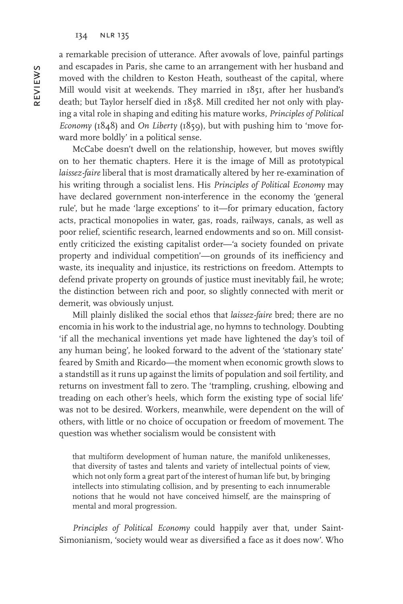a remarkable precision of utterance. After avowals of love, painful partings and escapades in Paris, she came to an arrangement with her husband and moved with the children to Keston Heath, southeast of the capital, where Mill would visit at weekends. They married in 1851, after her husband's death; but Taylor herself died in 1858. Mill credited her not only with playing a vital role in shaping and editing his mature works, *Principles of Political Economy* (1848) and *On Liberty* (1859), but with pushing him to 'move forward more boldly' in a political sense.

McCabe doesn't dwell on the relationship, however, but moves swiftly on to her thematic chapters. Here it is the image of Mill as prototypical *laissez-faire* liberal that is most dramatically altered by her re-examination of his writing through a socialist lens. His *Principles of Political Economy* may have declared government non-interference in the economy the 'general rule', but he made 'large exceptions' to it—for primary education, factory acts, practical monopolies in water, gas, roads, railways, canals, as well as poor relief, scientific research, learned endowments and so on. Mill consistently criticized the existing capitalist order—'a society founded on private property and individual competition'—on grounds of its inefficiency and waste, its inequality and injustice, its restrictions on freedom. Attempts to defend private property on grounds of justice must inevitably fail, he wrote; the distinction between rich and poor, so slightly connected with merit or demerit, was obviously unjust.

Mill plainly disliked the social ethos that *laissez-faire* bred; there are no encomia in his work to the industrial age, no hymns to technology. Doubting 'if all the mechanical inventions yet made have lightened the day's toil of any human being', he looked forward to the advent of the 'stationary state' feared by Smith and Ricardo—the moment when economic growth slows to a standstill as it runs up against the limits of population and soil fertility, and returns on investment fall to zero. The 'trampling, crushing, elbowing and treading on each other's heels, which form the existing type of social life' was not to be desired. Workers, meanwhile, were dependent on the will of others, with little or no choice of occupation or freedom of movement. The question was whether socialism would be consistent with

that multiform development of human nature, the manifold unlikenesses, that diversity of tastes and talents and variety of intellectual points of view, which not only form a great part of the interest of human life but, by bringing intellects into stimulating collision, and by presenting to each innumerable notions that he would not have conceived himself, are the mainspring of mental and moral progression.

*Principles of Political Economy* could happily aver that, under Saint-Simonianism, 'society would wear as diversified a face as it does now'. Who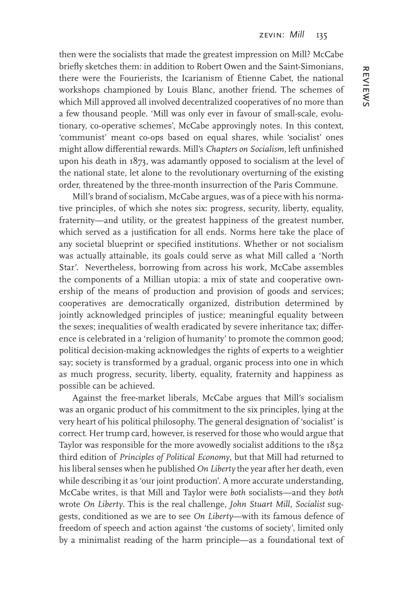then were the socialists that made the greatest impression on Mill? McCabe briefly sketches them: in addition to Robert Owen and the Saint-Simonians, there were the Fourierists, the Icarianism of Étienne Cabet, the national workshops championed by Louis Blanc, another friend. The schemes of which Mill approved all involved decentralized cooperatives of no more than a few thousand people. 'Mill was only ever in favour of small-scale, evolutionary, co-operative schemes', McCabe approvingly notes. In this context, 'communist' meant co-ops based on equal shares, while 'socialist' ones might allow differential rewards. Mill's *Chapters on Socialism*, left unfinished upon his death in 1873, was adamantly opposed to socialism at the level of the national state, let alone to the revolutionary overturning of the existing order, threatened by the three-month insurrection of the Paris Commune.

Mill's brand of socialism, McCabe argues, was of a piece with his normative principles, of which she notes six: progress, security, liberty, equality, fraternity—and utility, or the greatest happiness of the greatest number, which served as a justification for all ends. Norms here take the place of any societal blueprint or specified institutions. Whether or not socialism was actually attainable, its goals could serve as what Mill called a 'North Star'. Nevertheless, borrowing from across his work, McCabe assembles the components of a Millian utopia: a mix of state and cooperative ownership of the means of production and provision of goods and services; cooperatives are democratically organized, distribution determined by jointly acknowledged principles of justice; meaningful equality between the sexes; inequalities of wealth eradicated by severe inheritance tax; difference is celebrated in a 'religion of humanity' to promote the common good; political decision-making acknowledges the rights of experts to a weightier say; society is transformed by a gradual, organic process into one in which as much progress, security, liberty, equality, fraternity and happiness as possible can be achieved.

Against the free-market liberals, McCabe argues that Mill's socialism was an organic product of his commitment to the six principles, lying at the very heart of his political philosophy. The general designation of 'socialist' is correct. Her trump card, however, is reserved for those who would argue that Taylor was responsible for the more avowedly socialist additions to the 1852 third edition of *Principles of Political Economy*, but that Mill had returned to his liberal senses when he published *On Liberty* the year after her death, even while describing it as 'our joint production'. A more accurate understanding, McCabe writes, is that Mill and Taylor were *both* socialists—and they *both* wrote *On Liberty*. This is the real challenge, *John Stuart Mill*, *Socialist* suggests, conditioned as we are to see *On Liberty*—with its famous defence of freedom of speech and action against 'the customs of society', limited only by a minimalist reading of the harm principle—as a foundational text of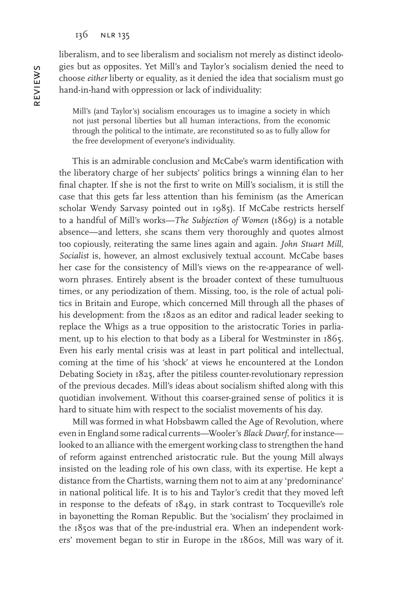liberalism, and to see liberalism and socialism not merely as distinct ideologies but as opposites. Yet Mill's and Taylor's socialism denied the need to choose *either* liberty or equality, as it denied the idea that socialism must go hand-in-hand with oppression or lack of individuality:

Mill's (and Taylor's) socialism encourages us to imagine a society in which not just personal liberties but all human interactions, from the economic through the political to the intimate, are reconstituted so as to fully allow for the free development of everyone's individuality.

This is an admirable conclusion and McCabe's warm identification with the liberatory charge of her subjects' politics brings a winning élan to her final chapter. If she is not the first to write on Mill's socialism, it is still the case that this gets far less attention than his feminism (as the American scholar Wendy Sarvasy pointed out in 1985). If McCabe restricts herself to a handful of Mill's works—*The Subjection of Women* (1869) is a notable absence—and letters, she scans them very thoroughly and quotes almost too copiously, reiterating the same lines again and again. *John Stuart Mill, Socialist* is, however, an almost exclusively textual account. McCabe bases her case for the consistency of Mill's views on the re-appearance of wellworn phrases. Entirely absent is the broader context of these tumultuous times, or any periodization of them. Missing, too, is the role of actual politics in Britain and Europe, which concerned Mill through all the phases of his development: from the 1820s as an editor and radical leader seeking to replace the Whigs as a true opposition to the aristocratic Tories in parliament, up to his election to that body as a Liberal for Westminster in 1865. Even his early mental crisis was at least in part political and intellectual, coming at the time of his 'shock' at views he encountered at the London Debating Society in 1825, after the pitiless counter-revolutionary repression of the previous decades. Mill's ideas about socialism shifted along with this quotidian involvement. Without this coarser-grained sense of politics it is hard to situate him with respect to the socialist movements of his day.

Mill was formed in what Hobsbawm called the Age of Revolution, where even in England some radical currents—Wooler's *Black Dwarf*, for instance looked to an alliance with the emergent working class to strengthen the hand of reform against entrenched aristocratic rule. But the young Mill always insisted on the leading role of his own class, with its expertise. He kept a distance from the Chartists, warning them not to aim at any 'predominance' in national political life. It is to his and Taylor's credit that they moved left in response to the defeats of 1849, in stark contrast to Tocqueville's role in bayonetting the Roman Republic. But the 'socialism' they proclaimed in the 1850s was that of the pre-industrial era. When an independent workers' movement began to stir in Europe in the 1860s, Mill was wary of it.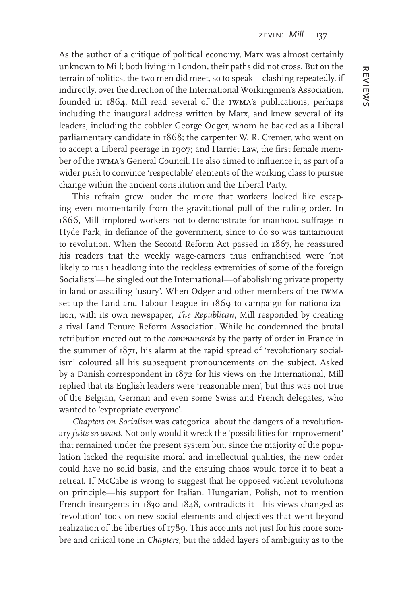As the author of a critique of political economy, Marx was almost certainly unknown to Mill; both living in London, their paths did not cross. But on the terrain of politics, the two men did meet, so to speak—clashing repeatedly, if indirectly, over the direction of the International Workingmen's Association, founded in 1864. Mill read several of the iwma's publications, perhaps including the inaugural address written by Marx, and knew several of its leaders, including the cobbler George Odger, whom he backed as a Liberal parliamentary candidate in 1868; the carpenter W. R. Cremer, who went on to accept a Liberal peerage in 1907; and Harriet Law, the first female member of the iwma's General Council. He also aimed to influence it, as part of a wider push to convince 'respectable' elements of the working class to pursue change within the ancient constitution and the Liberal Party.

This refrain grew louder the more that workers looked like escaping even momentarily from the gravitational pull of the ruling order. In 1866, Mill implored workers not to demonstrate for manhood suffrage in Hyde Park, in defiance of the government, since to do so was tantamount to revolution. When the Second Reform Act passed in 1867, he reassured his readers that the weekly wage-earners thus enfranchised were 'not likely to rush headlong into the reckless extremities of some of the foreign Socialists'—he singled out the International—of abolishing private property in land or assailing 'usury'. When Odger and other members of the iwma set up the Land and Labour League in 1869 to campaign for nationalization, with its own newspaper, *The Republican*, Mill responded by creating a rival Land Tenure Reform Association. While he condemned the brutal retribution meted out to the *communards* by the party of order in France in the summer of 1871, his alarm at the rapid spread of 'revolutionary socialism' coloured all his subsequent pronouncements on the subject. Asked by a Danish correspondent in 1872 for his views on the International, Mill replied that its English leaders were 'reasonable men', but this was not true of the Belgian, German and even some Swiss and French delegates, who wanted to 'expropriate everyone'.

*Chapters on Socialism* was categorical about the dangers of a revolutionary *fuite en avant*. Not only would it wreck the 'possibilities for improvement' that remained under the present system but, since the majority of the population lacked the requisite moral and intellectual qualities, the new order could have no solid basis, and the ensuing chaos would force it to beat a retreat. If McCabe is wrong to suggest that he opposed violent revolutions on principle—his support for Italian, Hungarian, Polish, not to mention French insurgents in 1830 and 1848, contradicts it—his views changed as 'revolution' took on new social elements and objectives that went beyond realization of the liberties of 1789. This accounts not just for his more sombre and critical tone in *Chapters*, but the added layers of ambiguity as to the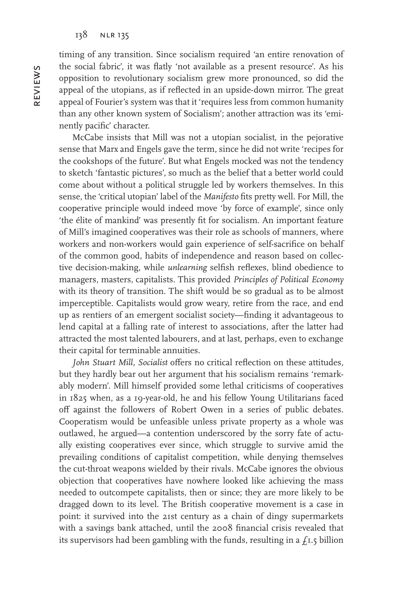timing of any transition. Since socialism required 'an entire renovation of the social fabric', it was flatly 'not available as a present resource'. As his opposition to revolutionary socialism grew more pronounced, so did the appeal of the utopians, as if reflected in an upside-down mirror. The great appeal of Fourier's system was that it 'requires less from common humanity than any other known system of Socialism'; another attraction was its 'eminently pacific' character.

McCabe insists that Mill was not a utopian socialist, in the pejorative sense that Marx and Engels gave the term, since he did not write 'recipes for the cookshops of the future'. But what Engels mocked was not the tendency to sketch 'fantastic pictures', so much as the belief that a better world could come about without a political struggle led by workers themselves. In this sense, the 'critical utopian' label of the *Manifesto* fits pretty well. For Mill, the cooperative principle would indeed move 'by force of example', since only 'the élite of mankind' was presently fit for socialism. An important feature of Mill's imagined cooperatives was their role as schools of manners, where workers and non-workers would gain experience of self-sacrifice on behalf of the common good, habits of independence and reason based on collective decision-making, while *unlearning* selfish reflexes, blind obedience to managers, masters, capitalists. This provided *Principles of Political Economy* with its theory of transition. The shift would be so gradual as to be almost imperceptible. Capitalists would grow weary, retire from the race, and end up as rentiers of an emergent socialist society—finding it advantageous to lend capital at a falling rate of interest to associations, after the latter had attracted the most talented labourers, and at last, perhaps, even to exchange their capital for terminable annuities.

*John Stuart Mill, Socialist* offers no critical reflection on these attitudes, but they hardly bear out her argument that his socialism remains 'remarkably modern'. Mill himself provided some lethal criticisms of cooperatives in 1825 when, as a 19-year-old, he and his fellow Young Utilitarians faced off against the followers of Robert Owen in a series of public debates. Cooperatism would be unfeasible unless private property as a whole was outlawed, he argued—a contention underscored by the sorry fate of actually existing cooperatives ever since, which struggle to survive amid the prevailing conditions of capitalist competition, while denying themselves the cut-throat weapons wielded by their rivals. McCabe ignores the obvious objection that cooperatives have nowhere looked like achieving the mass needed to outcompete capitalists, then or since; they are more likely to be dragged down to its level. The British cooperative movement is a case in point: it survived into the 21st century as a chain of dingy supermarkets with a savings bank attached, until the 2008 financial crisis revealed that its supervisors had been gambling with the funds, resulting in a  $f<sub>1.5</sub>$  billion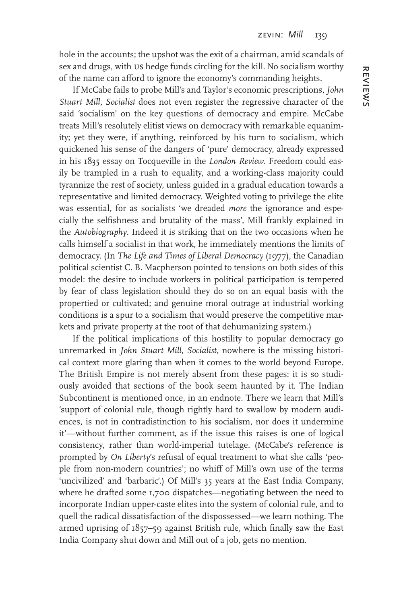hole in the accounts; the upshot was the exit of a chairman, amid scandals of sex and drugs, with us hedge funds circling for the kill. No socialism worthy of the name can afford to ignore the economy's commanding heights.

If McCabe fails to probe Mill's and Taylor's economic prescriptions, *John Stuart Mill, Socialist* does not even register the regressive character of the said 'socialism' on the key questions of democracy and empire. McCabe treats Mill's resolutely elitist views on democracy with remarkable equanimity; yet they were, if anything, reinforced by his turn to socialism, which quickened his sense of the dangers of 'pure' democracy, already expressed in his 1835 essay on Tocqueville in the *London Review*. Freedom could easily be trampled in a rush to equality, and a working-class majority could tyrannize the rest of society, unless guided in a gradual education towards a representative and limited democracy. Weighted voting to privilege the elite was essential, for as socialists 'we dreaded *more* the ignorance and especially the selfishness and brutality of the mass', Mill frankly explained in the *Autobiography*. Indeed it is striking that on the two occasions when he calls himself a socialist in that work, he immediately mentions the limits of democracy. (In *The Life and Times of Liberal Democracy* (1977), the Canadian political scientist C. B. Macpherson pointed to tensions on both sides of this model: the desire to include workers in political participation is tempered by fear of class legislation should they do so on an equal basis with the propertied or cultivated; and genuine moral outrage at industrial working conditions is a spur to a socialism that would preserve the competitive markets and private property at the root of that dehumanizing system.)

If the political implications of this hostility to popular democracy go unremarked in *John Stuart Mill, Socialist*, nowhere is the missing historical context more glaring than when it comes to the world beyond Europe. The British Empire is not merely absent from these pages: it is so studiously avoided that sections of the book seem haunted by it. The Indian Subcontinent is mentioned once, in an endnote. There we learn that Mill's 'support of colonial rule, though rightly hard to swallow by modern audiences, is not in contradistinction to his socialism, nor does it undermine it'—without further comment, as if the issue this raises is one of logical consistency, rather than world-imperial tutelage. (McCabe's reference is prompted by *On Liberty*'s refusal of equal treatment to what she calls 'people from non-modern countries'; no whiff of Mill's own use of the terms 'uncivilized' and 'barbaric'.) Of Mill's 35 years at the East India Company, where he drafted some 1,700 dispatches—negotiating between the need to incorporate Indian upper-caste elites into the system of colonial rule, and to quell the radical dissatisfaction of the dispossessed—we learn nothing. The armed uprising of 1857–59 against British rule, which finally saw the East India Company shut down and Mill out of a job, gets no mention.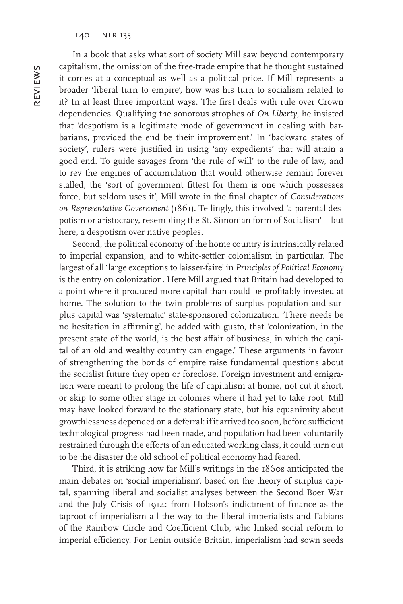In a book that asks what sort of society Mill saw beyond contemporary capitalism, the omission of the free-trade empire that he thought sustained it comes at a conceptual as well as a political price. If Mill represents a broader 'liberal turn to empire', how was his turn to socialism related to it? In at least three important ways. The first deals with rule over Crown dependencies. Qualifying the sonorous strophes of *On Liberty*, he insisted that 'despotism is a legitimate mode of government in dealing with barbarians, provided the end be their improvement.' In 'backward states of society', rulers were justified in using 'any expedients' that will attain a good end. To guide savages from 'the rule of will' to the rule of law, and to rev the engines of accumulation that would otherwise remain forever stalled, the 'sort of government fittest for them is one which possesses force, but seldom uses it', Mill wrote in the final chapter of *Considerations on Representative Government* (1861). Tellingly, this involved 'a parental despotism or aristocracy, resembling the St. Simonian form of Socialism'—but here, a despotism over native peoples.

Second, the political economy of the home country is intrinsically related to imperial expansion, and to white-settler colonialism in particular. The largest of all 'large exceptions to laisser-faire' in *Principles of Political Economy* is the entry on colonization. Here Mill argued that Britain had developed to a point where it produced more capital than could be profitably invested at home. The solution to the twin problems of surplus population and surplus capital was 'systematic' state-sponsored colonization. 'There needs be no hesitation in affirming', he added with gusto, that 'colonization, in the present state of the world, is the best affair of business, in which the capital of an old and wealthy country can engage.' These arguments in favour of strengthening the bonds of empire raise fundamental questions about the socialist future they open or foreclose. Foreign investment and emigration were meant to prolong the life of capitalism at home, not cut it short, or skip to some other stage in colonies where it had yet to take root. Mill may have looked forward to the stationary state, but his equanimity about growthlessness depended on a deferral: if it arrived too soon, before sufficient technological progress had been made, and population had been voluntarily restrained through the efforts of an educated working class, it could turn out to be the disaster the old school of political economy had feared.

Third, it is striking how far Mill's writings in the 1860s anticipated the main debates on 'social imperialism', based on the theory of surplus capital, spanning liberal and socialist analyses between the Second Boer War and the July Crisis of 1914: from Hobson's indictment of finance as the taproot of imperialism all the way to the liberal imperialists and Fabians of the Rainbow Circle and Coefficient Club, who linked social reform to imperial efficiency. For Lenin outside Britain, imperialism had sown seeds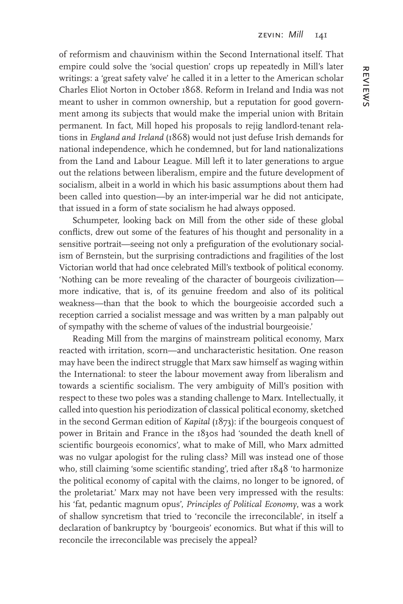of reformism and chauvinism within the Second International itself. That empire could solve the 'social question' crops up repeatedly in Mill's later writings: a 'great safety valve' he called it in a letter to the American scholar Charles Eliot Norton in October 1868. Reform in Ireland and India was not meant to usher in common ownership, but a reputation for good government among its subjects that would make the imperial union with Britain permanent. In fact, Mill hoped his proposals to rejig landlord-tenant relations in *England and Ireland* (1868) would not just defuse Irish demands for national independence, which he condemned, but for land nationalizations from the Land and Labour League. Mill left it to later generations to argue out the relations between liberalism, empire and the future development of socialism, albeit in a world in which his basic assumptions about them had been called into question—by an inter-imperial war he did not anticipate, that issued in a form of state socialism he had always opposed.

Schumpeter, looking back on Mill from the other side of these global conflicts, drew out some of the features of his thought and personality in a sensitive portrait—seeing not only a prefiguration of the evolutionary socialism of Bernstein, but the surprising contradictions and fragilities of the lost Victorian world that had once celebrated Mill's textbook of political economy. 'Nothing can be more revealing of the character of bourgeois civilization more indicative, that is, of its genuine freedom and also of its political weakness—than that the book to which the bourgeoisie accorded such a reception carried a socialist message and was written by a man palpably out of sympathy with the scheme of values of the industrial bourgeoisie.'

Reading Mill from the margins of mainstream political economy, Marx reacted with irritation, scorn—and uncharacteristic hesitation. One reason may have been the indirect struggle that Marx saw himself as waging within the International: to steer the labour movement away from liberalism and towards a scientific socialism. The very ambiguity of Mill's position with respect to these two poles was a standing challenge to Marx. Intellectually, it called into question his periodization of classical political economy, sketched in the second German edition of *Kapital* (1873): if the bourgeois conquest of power in Britain and France in the 1830s had 'sounded the death knell of scientific bourgeois economics', what to make of Mill, who Marx admitted was no vulgar apologist for the ruling class? Mill was instead one of those who, still claiming 'some scientific standing', tried after 1848 'to harmonize the political economy of capital with the claims, no longer to be ignored, of the proletariat.' Marx may not have been very impressed with the results: his 'fat, pedantic magnum opus', *Principles of Political Economy*, was a work of shallow syncretism that tried to 'reconcile the irreconcilable', in itself a declaration of bankruptcy by 'bourgeois' economics. But what if this will to reconcile the irreconcilable was precisely the appeal?